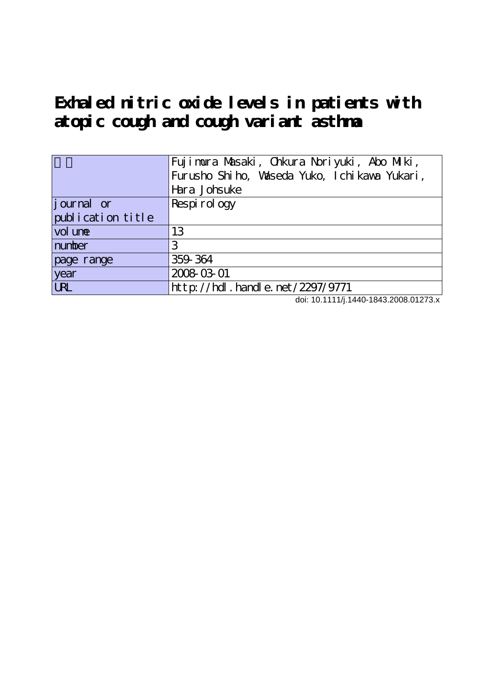**Exhaled nitric oxide levels in patients with atopic cough and cough variant asthma**

|                   | Fujimura Masaki, Chkura Noriyuki, Abo Milki,<br>Furusho Shiho, Vaseda Yuko, Ichikawa Yukari,<br>Hara Johsuke |
|-------------------|--------------------------------------------------------------------------------------------------------------|
| journal or        | Respirology                                                                                                  |
| publication title |                                                                                                              |
| vol une           | 13                                                                                                           |
| number            | З                                                                                                            |
| page range        | 359 364                                                                                                      |
| year              | 2008-03-01                                                                                                   |
| <b>LRL</b>        | http://hdl.handle.net/2297/9771                                                                              |

doi: 10.1111/j.1440-1843.2008.01273.x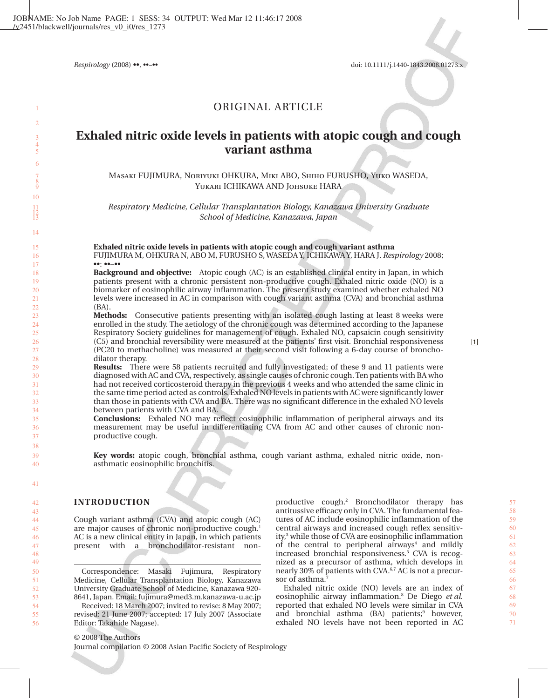*Respirology* (2008) **••**, ••–•• doi: 10.1111/j.1440-1843.2008.01273.x

# ORIGINAL ARTICLE

# **Exhaled nitric oxide levels in patients with atopic cough and cough variant asthma**

Masaki FUJIMURA, Noriyuki OHKURA, Miki ABO, Shiho FURUSHO, Yuko WASEDA, Yukari ICHIKAWA AND Johsuke HARA

*Respiratory Medicine, Cellular Transplantation Biology, Kanazawa University Graduate School of Medicine, Kanazawa, Japan*

**Exhaled nitric oxide levels in patients with atopic cough and cough variant asthma** FUJIMURA M, OHKURA N, ABO M, FURUSHO S, WASEDA Y, ICHIKAWA Y, HARA J. *Respirology* 2008; ••: ••–••

**Background and objective:** Atopic cough (AC) is an established clinical entity in Japan, in which patients present with a chronic persistent non-productive cough. Exhaled nitric oxide (NO) is a biomarker of eosinophilic airway inflammation. The present study examined whether exhaled NO levels were increased in AC in comparison with cough variant asthma (CVA) and bronchial asthma (BA).

**Methods:** Consecutive patients presenting with an isolated cough lasting at least 8 weeks were enrolled in the study. The aetiology of the chronic cough was determined according to the Japanese Respiratory Society guidelines for management of cough. Exhaled NO, capsaicin cough sensitivity (C5) and bronchial reversibility were measured at the patients' first visit. Bronchial responsiveness (PC20 to methacholine) was measured at their second visit following a 6-day course of bronchodilator therapy.

**Results:** There were 58 patients recruited and fully investigated; of these 9 and 11 patients were diagnosed with AC and CVA, respectively, as single causes of chronic cough. Ten patients with BA who had not received corticosteroid therapy in the previous 4 weeks and who attended the same clinic in the same time period acted as controls. Exhaled NO levels in patients with AC were significantly lower than those in patients with CVA and BA. There was no significant difference in the exhaled NO levels between patients with CVA and BA.

**Conclusions:** Exhaled NO may reflect eosinophilic inflammation of peripheral airways and its measurement may be useful in differentiating CVA from AC and other causes of chronic nonproductive cough.

**Key words:** atopic cough, bronchial asthma, cough variant asthma, exhaled nitric oxide, nonasthmatic eosinophilic bronchitis.

#### **INTRODUCTION**

Cough variant asthma (CVA) and atopic cough (AC) are major causes of chronic non-productive cough.<sup>1</sup> AC is a new clinical entity in Japan, in which patients present with a bronchodilator-resistant non-

Correspondence: Masaki Fujimura, Respiratory Medicine, Cellular Transplantation Biology, Kanazawa University Graduate School of Medicine, Kanazawa 920- 8641, Japan. Email: fujimura@med3.m.kanazawa-u.ac.jp

Received: 18 March 2007; invited to revise: 8 May 2007; revised: 21 June 2007; accepted: 17 July 2007 (Associate Editor: Takahide Nagase).

productive cough.2 Bronchodilator therapy has antitussive efficacy only in CVA. The fundamental features of AC include eosinophilic inflammation of the central airways and increased cough reflex sensitivity,3 while those of CVA are eosinophilic inflammation of the central to peripheral airways<sup>4</sup> and mildly increased bronchial responsiveness.<sup>5</sup> CVA is recognized as a precursor of asthma, which develops in nearly 30% of patients with CVA.<sup>6,7</sup> AC is not a precursor of asthma.<sup>7</sup>

Exhaled nitric oxide (NO) levels are an index of eosinophilic airway inflammation.8 De Diego *et al.* reported that exhaled NO levels were similar in CVA and bronchial asthma (BA) patients;<sup>9</sup> however, exhaled NO levels have not been reported in AC

© 2008 The Authors

Journal compilation © 2008 Asian Pacific Society of Respirology

56

1 2 3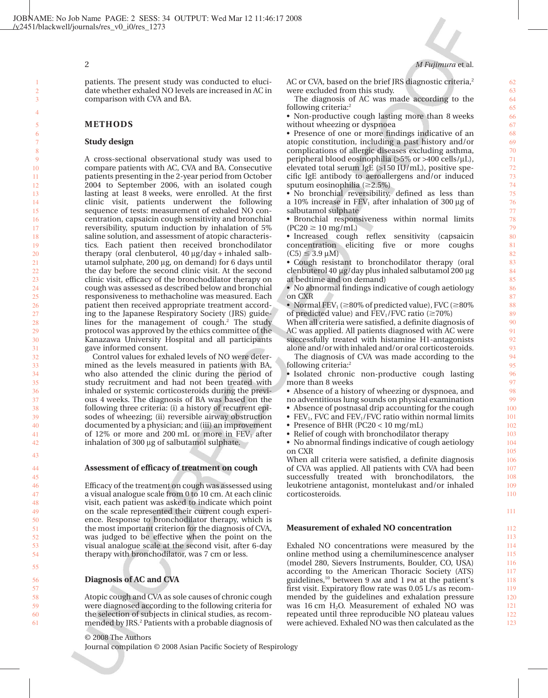# 2 *M Fujimura* et al.

patients. The present study was conducted to elucidate whether exhaled NO levels are increased in AC in comparison with CVA and BA.

# **METHODS**

#### **Study design**

A cross-sectional observational study was used to compare patients with AC, CVA and BA. Consecutive patients presenting in the 2-year period from October 2004 to September 2006, with an isolated cough lasting at least 8 weeks, were enrolled. At the first clinic visit, patients underwent the following sequence of tests: measurement of exhaled NO concentration, capsaicin cough sensitivity and bronchial reversibility, sputum induction by inhalation of 5% saline solution, and assessment of atopic characteristics. Each patient then received bronchodilator therapy (oral clenbuterol,  $40 \mu g/day + inhaled salb$ utamol sulphate,  $200 \mu$ g, on demand) for 6 days until the day before the second clinic visit. At the second clinic visit, efficacy of the bronchodilator therapy on cough was assessed as described below and bronchial responsiveness to methacholine was measured. Each patient then received appropriate treatment according to the Japanese Respiratory Society (JRS) guidelines for the management of cough.<sup>2</sup> The study protocol was approved by the ethics committee of the Kanazawa University Hospital and all participants gave informed consent.

Control values for exhaled levels of NO were determined as the levels measured in patients with BA, who also attended the clinic during the period of study recruitment and had not been treated with inhaled or systemic corticosteroids during the previous 4 weeks. The diagnosis of BA was based on the following three criteria: (i) a history of recurrent episodes of wheezing; (ii) reversible airway obstruction documented by a physician; and (iii) an improvement of 12% or more and 200 mL or more in  $FEV<sub>1</sub>$  after inhalation of 300  $\mu$ g of salbutamol sulphate.

#### **Assessment of efficacy of treatment on cough**

Efficacy of the treatment on cough was assessed using a visual analogue scale from 0 to 10 cm. At each clinic visit, each patient was asked to indicate which point on the scale represented their current cough experience. Response to bronchodilator therapy, which is the most important criterion for the diagnosis of CVA, was judged to be effective when the point on the visual analogue scale at the second visit, after 6-day therapy with bronchodilator, was 7 cm or less.

#### **Diagnosis of AC and CVA**

Atopic cough and CVA as sole causes of chronic cough were diagnosed according to the following criteria for the selection of subjects in clinical studies, as recommended by JRS.<sup>2</sup> Patients with a probable diagnosis of

# © 2008 The Authors

Journal compilation © 2008 Asian Pacific Society of Respirology

AC or CVA, based on the brief JRS diagnostic criteria,<sup>2</sup> were excluded from this study.

The diagnosis of AC was made according to the following criteria:<sup>2</sup>

• Non-productive cough lasting more than 8 weeks without wheezing or dyspnoea

• Presence of one or more findings indicative of an atopic constitution, including a past history and/or complications of allergic diseases excluding asthma, peripheral blood eosinophilia ( $>5\%$  or  $>400$  cells/ $\mu$ L), elevated total serum IgE (>150 IU/mL), positive specific IgE antibody to aeroallergens and/or induced sputum eosinophilia ( $\geq$ 2.5%)

• No bronchial reversibility, defined as less than a 10% increase in  $FEV<sub>1</sub>$  after inhalation of 300 µg of salbutamol sulphate

• Bronchial responsiveness within normal limits  $(PC20 \geq 10 \text{ mg/mL})$ 

• Increased cough reflex sensitivity (capsaicin concentration eliciting five or more coughs  $(C5) \leq 3.9 \text{ uM}$ 

• Cough resistant to bronchodilator therapy (oral clenbuterol 40 μg/day plus inhaled salbutamol 200 μg at bedtime and on demand)

• No abnormal findings indicative of cough aetiology on CXR

• Normal  $\text{FEV}_1 \approx 80\%$  of predicted value), FVC ( $\geq 80\%$ of predicted value) and  $FEV<sub>1</sub>/FVC$  ratio ( $\geq 70\%$ )

When all criteria were satisfied, a definite diagnosis of AC was applied. All patients diagnosed with AC were successfully treated with histamine H1-antagonists alone and/or with inhaled and/or oral corticosteroids.

The diagnosis of CVA was made according to the following criteria:<sup>2</sup>

• Isolated chronic non-productive cough lasting more than 8 weeks

• Absence of a history of wheezing or dyspnoea, and no adventitious lung sounds on physical examination

• Absence of postnasal drip accounting for the cough

- FEV<sub>1</sub>, FVC and FEV<sub>1</sub>/FVC ratio within normal limits
- Presence of BHR (PC20 < 10 mg/mL)
- Relief of cough with bronchodilator therapy

• No abnormal findings indicative of cough aetiology on CXR

When all criteria were satisfied, a definite diagnosis of CVA was applied. All patients with CVA had been successfully treated with bronchodilators, the leukotriene antagonist, montelukast and/or inhaled corticosteroids.

#### **Measurement of exhaled NO concentration**

Exhaled NO concentrations were measured by the online method using a chemiluminescence analyser (model 280, Sievers Instruments, Boulder, CO, USA) according to the American Thoracic Society (ATS) guidelines,10 between 9 am and 1 pm at the patient's first visit. Expiratory flow rate was 0.05 L/s as recommended by the guidelines and exhalation pressure was  $16 \text{ cm } H_2O$ . Measurement of exhaled NO was repeated until three reproducible NO plateau values were achieved. Exhaled NO was then calculated as the

123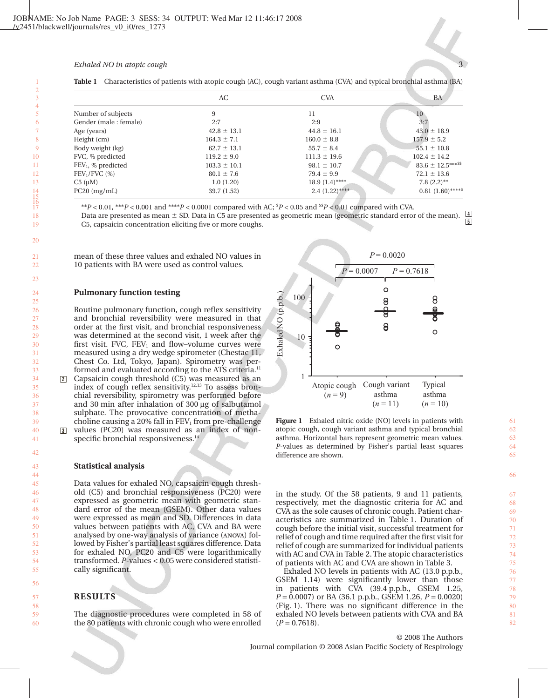#### *Exhaled NO in atopic cough*

|                        | AC               | <b>CVA</b>       | BA                  |
|------------------------|------------------|------------------|---------------------|
| Number of subjects     | 9                | 11               | 10                  |
| Gender (male : female) | 2:7              | 2:9              | 3:7                 |
| Age (years)            | $42.8 \pm 13.1$  | $44.8 \pm 16.1$  | $43.0 \pm 18.9$     |
| Height (cm)            | $164.3 \pm 7.1$  | $160.0 \pm 8.8$  | $157.9 \pm 5.2$     |
| Body weight (kg)       | $62.7 \pm 13.1$  | $55.7 \pm 8.4$   | $55.1 \pm 10.8$     |
| FVC, % predicted       | $119.2 \pm 9.0$  | $111.3 \pm 19.6$ | $102.4 \pm 14.2$    |
| $FEV_1$ , % predicted  | $103.3 \pm 10.1$ | $98.1 \pm 10.7$  | $83.6 \pm 12.5***$  |
| $FEV1/FVC$ (%)         | $80.1 \pm 7.6$   | $79.4 \pm 9.9$   | $72.1 \pm 13.6$     |
| $C5 \; (\mu M)$        | 1.0(1.20)        | $18.9(1.4)$ **** | $7.8(2.2)$ **       |
| $PC20$ (mg/mL)         | 39.7 (1.52)      | $2.4(1.22)$ **** | $0.81(1.60)$ ****\$ |

|  | <b>Table 1</b> Characteristics of patients with atopic cough (AC), cough variant asthma (CVA) and typical bronchial asthma (BA) |  |  |  |  |  |  |  |  |  |
|--|---------------------------------------------------------------------------------------------------------------------------------|--|--|--|--|--|--|--|--|--|
|--|---------------------------------------------------------------------------------------------------------------------------------|--|--|--|--|--|--|--|--|--|

\*\**P* < 0.01, \*\*\**P* < 0.001 and \*\*\*\**P* < 0.0001 compared with AC; \$ *P* < 0.05 and \$\$*P* < 0.01 compared with CVA. Data are presented as mean  $\pm$  SD. Data in C5 are presented as geometric mean (geometric standard error of the mean). C5, capsaicin concentration eliciting five or more coughs. **4 4 5**

mean of these three values and exhaled NO values in 10 patients with BA were used as control values.

#### **Pulmonary function testing**

Routine pulmonary function, cough reflex sensitivity and bronchial reversibility were measured in that order at the first visit, and bronchial responsiveness was determined at the second visit, 1 week after the first visit. FVC,  $FEV_1$  and flow-volume curves were measured using a dry wedge spirometer (Chestac 11, Chest Co. Ltd, Tokyo, Japan). Spirometry was performed and evaluated according to the ATS criteria.<sup>11</sup>

Capsaicin cough threshold (C5) was measured as an index of cough reflex sensitivity.12,13 To assess bronchial reversibility, spirometry was performed before and 30 min after inhalation of 300 µg of salbutamol sulphate. The provocative concentration of methacholine causing a 20% fall in  $FEV<sub>1</sub>$  from pre-challenge 2 **<sup>2</sup>**

values (PC20) was measured as an index of nonspecific bronchial responsiveness.<sup>14</sup> **3** 

#### **Statistical analysis**

Data values for exhaled NO, capsaicin cough threshold (C5) and bronchial responsiveness (PC20) were expressed as geometric mean with geometric standard error of the mean (GSEM). Other data values were expressed as mean and SD. Differences in data values between patients with AC, CVA and BA were analysed by one-way analysis of variance (anova) followed by Fisher's partial least squares difference. Data for exhaled NO, PC20 and C5 were logarithmically transformed. *P*-values < 0.05 were considered statistically significant.

# **RESULTS**

The diagnostic procedures were completed in 58 of the 80 patients with chronic cough who were enrolled



**Figure 1** Exhaled nitric oxide (NO) levels in patients with atopic cough, cough variant asthma and typical bronchial asthma. Horizontal bars represent geometric mean values. *P*-values as determined by Fisher's partial least squares difference are shown.

in the study. Of the 58 patients, 9 and 11 patients, respectively, met the diagnostic criteria for AC and CVA as the sole causes of chronic cough. Patient characteristics are summarized in Table 1. Duration of cough before the initial visit, successful treatment for relief of cough and time required after the first visit for relief of cough are summarized for individual patients with AC and CVA in Table 2. The atopic characteristics of patients with AC and CVA are shown in Table 3.

Exhaled NO levels in patients with AC (13.0 p.p.b., GSEM 1.14) were significantly lower than those in patients with CVA (39.4 p.p.b., GSEM 1.25, *P* = 0.0007) or BA (36.1 p.p.b., GSEM 1.26, *P* = 0.0020) (Fig. 1). There was no significant difference in the exhaled NO levels between patients with CVA and BA  $(P = 0.7618)$ .

61 62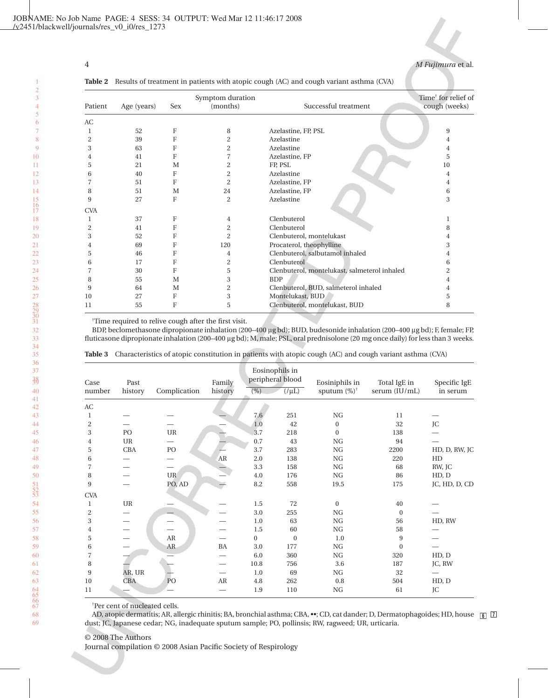# 4 *M Fujimura* et al.

|                |             |            | Symptom duration |                                              | Time <sup>†</sup> for relief of |
|----------------|-------------|------------|------------------|----------------------------------------------|---------------------------------|
| Patient        | Age (years) | <b>Sex</b> | (months)         | Successful treatment                         | cough (weeks)                   |
| AC             |             |            |                  |                                              |                                 |
|                | 52          | F          | 8                | Azelastine, FP, PSL                          | 9                               |
| $\overline{2}$ | 39          | F          | 2                | Azelastine                                   | 4                               |
| 3              | 63          | F          | $\overline{c}$   | Azelastine                                   | 4                               |
| 4              | 41          | F          | 7                | Azelastine, FP                               | 5                               |
| 5              | 21          | M          | 2                | FP, PSL                                      | 10                              |
| 6              | 40          | F          | 2                | Azelastine                                   | 4                               |
|                | 51          | F          | $\overline{2}$   | Azelastine, FP                               | 4                               |
| 8              | 51          | M          | 24               | Azelastine, FP                               | 6                               |
| 9              | 27          | F          | $\mathbf{2}$     | Azelastine                                   | 3                               |
| <b>CVA</b>     |             |            |                  |                                              |                                 |
| 1              | 37          | F          | 4                | Clenbuterol                                  | 1                               |
| 2              | 41          | F          | 2                | Clenbuterol                                  | 8                               |
| 3              | 52          | F          | $\overline{c}$   | Clenbuterol, montelukast                     | 4                               |
|                | 69          | F          | 120              | Procaterol, theophylline                     | 3                               |
| 5              | 46          | F          | 4                | Clenbuterol, salbutamol inhaled              | 4                               |
| 6              | 17          | F          | $\overline{c}$   | Clenbuterol                                  | 6                               |
|                | 30          | F          | 5                | Clenbuterol, montelukast, salmeterol inhaled | $\overline{2}$                  |
| 8              | 55          | M          | 3                | <b>BDP</b>                                   |                                 |
| 9              | 64          | M          | $\overline{c}$   | Clenbuterol, BUD, salmeterol inhaled         | 4                               |
| 10             | 27          | F          | 3                | Montelukast, BUD                             | 5                               |
| 11             | 55          | F          | 5                | Clenbuterol, montelukast, BUD                | 8                               |
|                |             |            |                  |                                              |                                 |

**Table 2** Results of treatment in patients with atopic cough (AC) and cough variant asthma (CVA)

† Time required to relive cough after the first visit.

BDP, beclomethasone dipropionate inhalation (200–400 µg bd); BUD, budesonide inhalation (200–400 µg bd); F, female; FP, fluticasone dipropionate inhalation (200-400 µg bd); M, male; PSL, oral prednisolone (20 mg once daily) for less than 3 weeks.

| Case           | Past       |                                   | Family  |              | Eosinophils in<br>peripheral blood | Eosiniphils in          | Total IgE in     | Specific IgE  |
|----------------|------------|-----------------------------------|---------|--------------|------------------------------------|-------------------------|------------------|---------------|
| number         | history    | Complication                      | history | $(\%)$       | $(\sqrt{\mu L})$                   | sputum $(\%)^{\dagger}$ | serum (IU/mL)    | in serum      |
| AC             |            |                                   |         |              |                                    |                         |                  |               |
| 1              |            |                                   |         | 7.6          | 251                                | ${\rm NG}$              | 11               |               |
| $\overline{c}$ |            |                                   |         | 1.0          | 42                                 | $\mathbf{0}$            | 32               | JC            |
| 3              | PO         | $\ensuremath{\mathsf{UR}}\xspace$ |         | 3.7          | 218                                | $\boldsymbol{0}$        | 138              |               |
| 4              | UR         |                                   |         | 0.7          | 43                                 | NG                      | 94               |               |
| 5              | <b>CBA</b> | PO                                |         | 3.7          | 283                                | NG                      | 2200             | HD, D, RW, JC |
| 6              |            |                                   | AR      | 2.0          | 138                                | NG                      | 220              | HD            |
| 7              |            | —                                 |         | $3.3\,$      | 158                                | NG                      | 68               | RW, JC        |
| 8              |            | <b>UR</b>                         |         | 4.0          | 176                                | NG                      | 86               | HD, D         |
| 9              |            | PO, AD                            |         | 8.2          | 558                                | 19.5                    | 175              | JC, HD, D, CD |
| <b>CVA</b>     |            |                                   |         |              |                                    |                         |                  |               |
| 1              | UR         |                                   |         | 1.5          | 72                                 | $\mathbf{0}$            | 40               |               |
| $\overline{c}$ |            |                                   |         | 3.0          | 255                                | NG                      | $\mathbf{0}$     |               |
| 3              |            |                                   |         | 1.0          | 63                                 | NG                      | 56               | HD, RW        |
| 4              |            |                                   |         | 1.5          | 60                                 | NG                      | 58               |               |
| 5              |            | ${\sf AR}$                        |         | $\mathbf{0}$ | $\mathbf{0}$                       | 1.0                     | 9                |               |
| 6              |            | AR                                | BA      | 3.0          | 177                                | NG                      | $\boldsymbol{0}$ |               |
| 7              |            |                                   |         | 6.0          | 360                                | NG                      | 320              | HD, D         |
| 8              |            |                                   |         | 10.8         | 756                                | 3.6                     | 187              | JC, RW        |
| $\overline{9}$ | AR, UR     |                                   |         | 1.0          | 69                                 | NG                      | 32               |               |
| 10             | CBA        | PO                                | AR      | 4.8          | 262                                | 0.8                     | 504              | HD, D         |
| 11             |            |                                   |         | 1.9          | 110                                | NG                      | 61               | JC            |

|  | Table 3 Characteristics of atopic constitution in patients with atopic cough (AC) and cough variant asthma (CVA) |  |  |  |  |  |  |
|--|------------------------------------------------------------------------------------------------------------------|--|--|--|--|--|--|
|--|------------------------------------------------------------------------------------------------------------------|--|--|--|--|--|--|

† Per cent of nucleated cells.

AD, atopic dermatitis; AR, allergic rhinitis; BA, bronchial asthma; CBA, ••; CD, cat dander; D, Dermatophagoides; HD, house **6 7**dust; JC, Japanese cedar; NG, inadequate sputum sample; PO, pollinsis; RW, ragweed; UR, urticaria.

# © 2008 The Authors

Journal compilation © 2008 Asian Pacific Society of Respirology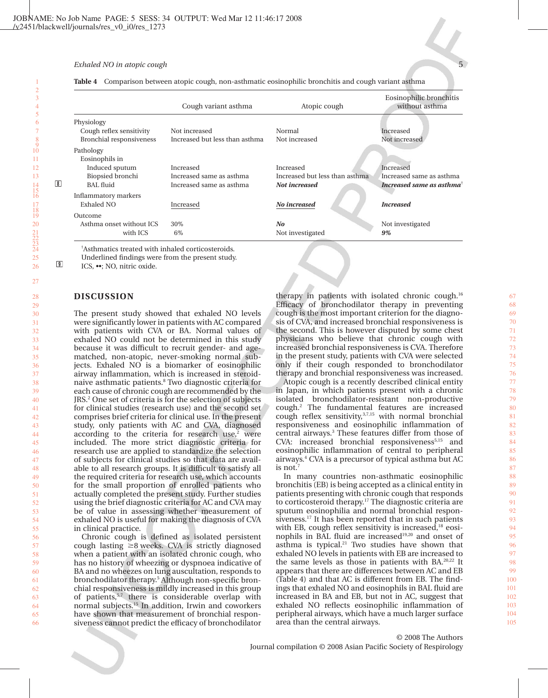#### *Exhaled NO in atopic cough*

**9**

|  | Table 4 Comparison between atopic cough, non-asthmatic eosinophilic bronchitis and cough variant asthma |  |  |  |
|--|---------------------------------------------------------------------------------------------------------|--|--|--|
|  |                                                                                                         |  |  |  |

|                             | Cough variant asthma           | Atopic cough                   | Eosinophilic bronchitis<br>without asthma                |
|-----------------------------|--------------------------------|--------------------------------|----------------------------------------------------------|
| Physiology                  |                                |                                |                                                          |
| Cough reflex sensitivity    | Not increased                  | Normal                         | Increased                                                |
| Bronchial responsiveness    | Increased but less than asthma | Not increased                  | Not increased                                            |
| Pathology                   |                                |                                |                                                          |
| Eosinophils in              |                                |                                |                                                          |
| Induced sputum              | Increased                      | Increased                      | Increased                                                |
| Biopsied bronchi            | Increased same as asthma       | Increased but less than asthma | Increased same as asthma                                 |
| BAL fluid                   | Increased same as asthma       | Not increased                  | Increased same as asthma <sup><math>\dagger</math></sup> |
| <b>Inflammatory markers</b> |                                |                                |                                                          |
| Exhaled NO                  | Increased                      | No increased                   | <b>Increased</b>                                         |
| Outcome                     |                                |                                |                                                          |
| Asthma onset without ICS    | 30%                            | No                             | Not investigated                                         |
| with ICS                    | 6%                             | Not investigated               | 9%                                                       |

† Asthmatics treated with inhaled corticosteroids.

Underlined findings were from the present study.

ICS, ••; NO, nitric oxide.

## **DISCUSSION**

The present study showed that exhaled NO levels were significantly lower in patients with AC compared with patients with CVA or BA. Normal values of exhaled NO could not be determined in this study because it was difficult to recruit gender- and agematched, non-atopic, never-smoking normal subjects. Exhaled NO is a biomarker of eosinophilic airway inflammation, which is increased in steroidnaive asthmatic patients.8 Two diagnostic criteria for each cause of chronic cough are recommended by the JRS.2 One set of criteria is for the selection of subjects for clinical studies (research use) and the second set comprises brief criteria for clinical use. In the present study, only patients with AC and CVA, diagnosed according to the criteria for research use, $2$  were included. The more strict diagnostic criteria for research use are applied to standardize the selection of subjects for clinical studies so that data are available to all research groups. It is difficult to satisfy all the required criteria for research use, which accounts for the small proportion of enrolled patients who actually completed the present study. Further studies using the brief diagnostic criteria for AC and CVA may be of value in assessing whether measurement of exhaled NO is useful for making the diagnosis of CVA in clinical practice.

Chronic cough is defined as isolated persistent cough lasting  $\geq 8$  weeks. CVA is strictly diagnosed when a patient with an isolated chronic cough, who has no history of wheezing or dyspnoea indicative of BA and no wheezes on lung auscultation, responds to bronchodilator therapy.5 Although non-specific bronchial responsiveness is mildly increased in this group of patients,<sup>5,7</sup> there is considerable overlap with normal subjects.15 In addition, Irwin and coworkers have shown that measurement of bronchial responsiveness cannot predict the efficacy of bronchodilator

therapy in patients with isolated chronic cough. $16$ Efficacy of bronchodilator therapy in preventing cough is the most important criterion for the diagnosis of CVA, and increased bronchial responsiveness is the second. This is however disputed by some chest physicians who believe that chronic cough with increased bronchial responsiveness is CVA. Therefore in the present study, patients with CVA were selected only if their cough responded to bronchodilator therapy and bronchial responsiveness was increased.

Atopic cough is a recently described clinical entity in Japan, in which patients present with a chronic isolated bronchodilator-resistant non-productive cough.2 The fundamental features are increased cough reflex sensitivity, $3,7,15$  with normal bronchial responsiveness and eosinophilic inflammation of central airways.<sup>3</sup> These features differ from those of CVA: increased bronchial responsiveness<sup>5,15</sup> and eosinophilic inflammation of central to peripheral airways.4 CVA is a precursor of typical asthma but AC is not.<sup>7</sup>

In many countries non-asthmatic eosinophilic bronchitis (EB) is being accepted as a clinical entity in patients presenting with chronic cough that responds to corticosteroid therapy.17 The diagnostic criteria are sputum eosinophilia and normal bronchial responsiveness.<sup>17</sup> It has been reported that in such patients with EB, cough reflex sensitivity is increased, $18$  eosinophils in BAL fluid are increased<sup>19,20</sup> and onset of asthma is typical. $21$  Two studies have shown that exhaled NO levels in patients with EB are increased to the same levels as those in patients with BA.20,22 It appears that there are differences between AC and EB (Table 4) and that AC is different from EB. The findings that exhaled NO and eosinophils in BAL fluid are increased in BA and EB, but not in AC, suggest that exhaled NO reflects eosinophilic inflammation of peripheral airways, which have a much larger surface area than the central airways.

© 2008 The Authors Journal compilation © 2008 Asian Pacific Society of Respirology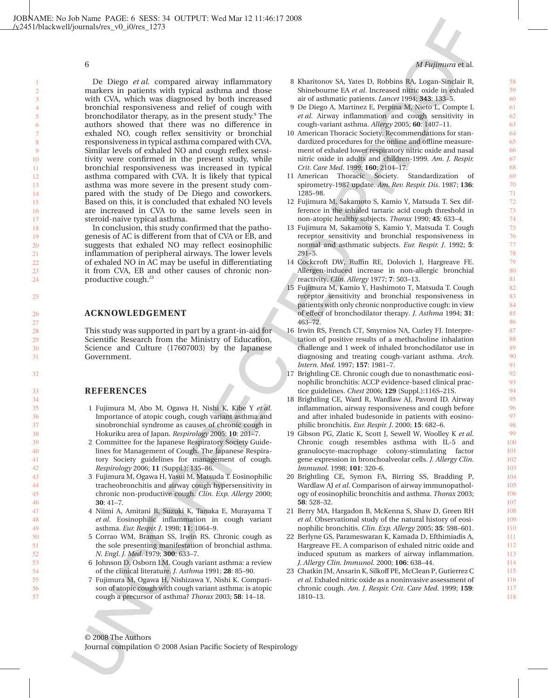25

32

#### De Diego *et al.* compared airway inflammatory markers in patients with typical asthma and those with CVA, which was diagnosed by both increased bronchial responsiveness and relief of cough with bronchodilator therapy, as in the present study. $9$  The authors showed that there was no difference in exhaled NO, cough reflex sensitivity or bronchial responsiveness in typical asthma compared with CVA. Similar levels of exhaled NO and cough reflex sensitivity were confirmed in the present study, while bronchial responsiveness was increased in typical asthma compared with CVA. It is likely that typical asthma was more severe in the present study compared with the study of De Diego and coworkers. Based on this, it is concluded that exhaled NO levels are increased in CVA to the same levels seen in steroid-naive typical asthma.

In conclusion, this study confirmed that the pathogenesis of AC is different from that of CVA or EB, and suggests that exhaled NO may reflect eosinophilic inflammation of peripheral airways. The lower levels of exhaled NO in AC may be useful in differentiating it from CVA, EB and other causes of chronic nonproductive cough.<sup>23</sup>

# **ACKNOWLEDGEMENT**

This study was supported in part by a grant-in-aid for Scientific Research from the Ministry of Education, Science and Culture (17607003) by the Japanese Government.

# **REFERENCES**

- 1 Fujimura M, Abo M, Ogawa H, Nishi K, Kibe Y *et al*. Importance of atopic cough, cough variant asthma and sinobronchial syndrome as causes of chronic cough in Hokuriku area of Japan. *Respirology* 2005; **10**: 201–7.
- 2 Committee for the Japanese Respiratory Society Guidelines for Management of Cough. The Japanese Respiratory Society guidelines for management of cough. *Respirology* 2006; **11** (Suppl.): 135–86.
- 3 Fujimura M, Ogawa H, Yasui M, Matsuda T. Eosinophilic tracheobronchitis and airway cough hypersensitivity in chronic non-productive cough. *Clin. Exp. Allergy* 2000; **30**: 41–7.
- 4 Niimi A, Amitani R, Suzuki K, Tanaka E, Murayama T *et al*. Eosinophilic inflammation in cough variant asthma. *Eur. Respir. J*. 1998; **11**: 1064–9.
- 5 Corrao WM, Braman SS, Irwin RS. Chronic cough as the sole presenting manifestation of bronchial asthma. *N. Engl. J. Med*. 1979; **300**: 633–7.
- 6 Johnson D, Osborn LM. Cough variant asthma: a review of the clinical literature. *J. Asthma* 1991; **28**: 85–90.
- 7 Fujimura M, Ogawa H, Nishizawa Y, Nishi K. Comparison of atopic cough with cough variant asthma: is atopic cough a precursor of asthma? *Thorax* 2003; **58**: 14–18.
- 8 Kharitonov SA, Yates D, Robbins RA, Logan-Sinclair R, Shinebourne EA *et al*. Increased nitric oxide in exhaled air of asthmatic patients. *Lancet* 1994; **343**: 133–5.
- 9 De Diego A, Martinez E, Perpina M, Nieto L, Compte L *et al*. Airway inflammation and cough sensitivity in cough-variant asthma. *Allergy* 2005; **60**: 1407–11.
- 10 American Thoracic Society. Recommendations for standardized procedures for the online and offline measurement of exhaled lower respiratory nitric oxide and nasal nitric oxide in adults and children-1999. *Am. J. Respir. Crit. Care Med*. 1999; **160**: 2104–17.
- 11 American Thoracic Society. Standardization spirometry-1987 update. *Am. Rev. Respir. Dis*. 1987; **136**: 1285–98.
- 12 Fujimura M, Sakamoto S, Kamio Y, Matsuda T. Sex difference in the inhaled tartaric acid cough threshold in non-atopic healthy subjects. *Thorax* 1990; **45**: 633–4.
- 13 Fujimura M, Sakamoto S, Kamio Y, Matsuda T. Cough receptor sensitivity and bronchial responsiveness in normal and asthmatic subjects. *Eur. Respir. J*. 1992; **5**: 291–5.
- 14 Cockcroft DW, Ruffin RE, Dolovich J, Hargreave FE. Allergen-induced increase in non-allergic bronchial reactivity. *Clin. Allergy* 1977; **7**: 503–13.
- 15 Fujimura M, Kamio Y, Hashimoto T, Matsuda T. Cough receptor sensitivity and bronchial responsiveness in patients with only chronic nonproductive cough: in view of effect of bronchodilator therapy. *J. Asthma* 1994; **31**: 463–72.
- 16 Irwin RS, French CT, Smyrnios NA, Curley FJ. Interpretation of positive results of a methacholine inhalation challenge and 1 week of inhaled bronchodilator use in diagnosing and treating cough-variant asthma. *Arch. Intern. Med*. 1997; **157**: 1981–7.
- 17 Brightling CE. Chronic cough due to nonasthmatic eosinophilic bronchitis: ACCP evidence-based clinical practice guidelines. *Chest* 2006; **129** (Suppl.):116S–21S.
- 18 Brightling CE, Ward R, Wardlaw AJ, Pavord ID. Airway inflammation, airway responsiveness and cough before and after inhaled budesonide in patients with eosinophilic bronchitis. *Eur. Respir. J*. 2000; **15**: 682–6.
- 19 Gibson PG, Zlatic K, Scott J, Sewell W, Woolley K *et al*. Chronic cough resembles asthma with IL-5 and granulocyte-macrophage colony-stimulating factor gene expression in bronchoalveolar cells. *J. Allergy Clin. Immunol*. 1998; **101**: 320–6.
- 20 Brightling CE, Symon FA, Birring SS, Bradding P, Wardlaw AJ *et al*. Comparison of airway immunopathology of eosinophilic bronchitis and asthma. *Thorax* 2003; **58**: 528–32.
- 21 Berry MA, Hargadon B, McKenna S, Shaw D, Green RH *et al*. Observational study of the natural history of eosinophilic bronchitis. *Clin. Exp. Allergy* 2005; **35**: 598–601.
- 22 Berlyne GS, Parameswaran K, Kamada D, Efthimiadis A, Hargreave FE. A comparison of exhaled nitric oxide and induced sputum as markers of airway inflammation. *J. Allergy Clin. Immunol*. 2000; **106**: 638–44.
- 23 Chatkin JM, Ansarin K, Silkoff PE, McClean P, Gutierrez C *et al*. Exhaled nitric oxide as a noninvasive assessment of chronic cough. *Am. J. Respir. Crit. Care Med*. 1999; **159**: 1810–13.

# © 2008 The Authors Journal compilation © 2008 Asian Pacific Society of Respirology

58

## 6 *M Fujimura* et al.